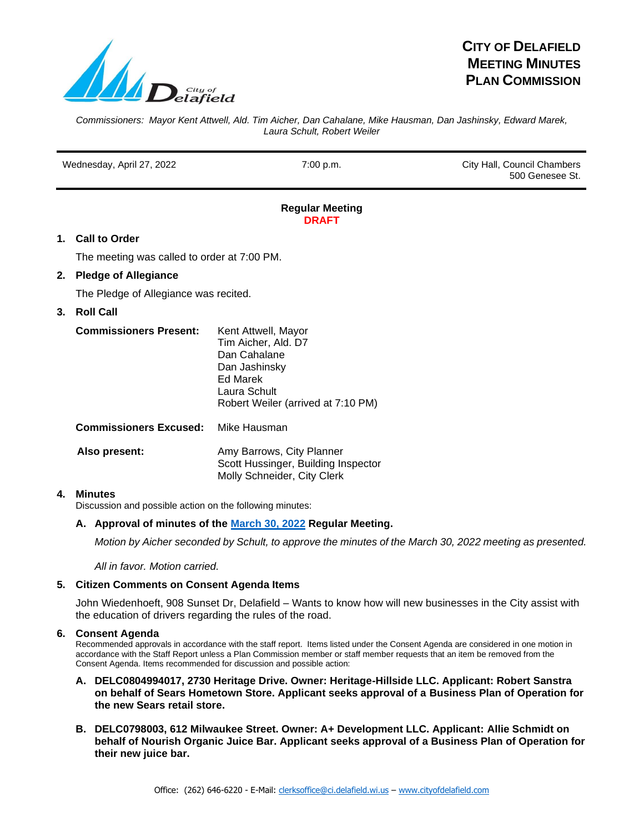

# **CITY OF DELAFIELD MEETING MINUTES PLAN COMMISSION**

*Commissioners: Mayor Kent Attwell, Ald. Tim Aicher, Dan Cahalane, Mike Hausman, Dan Jashinsky, Edward Marek, Laura Schult, Robert Weiler*

Wednesday, April 27, 2022 **7:00 p.m.** 7:00 p.m. City Hall, Council Chambers 500 Genesee St.

#### **Regular Meeting DRAFT**

# **1. Call to Order**

The meeting was called to order at 7:00 PM.

# **2. Pledge of Allegiance**

The Pledge of Allegiance was recited.

# **3. Roll Call**

| <b>Commissioners Present:</b> | Kent Attwell, Mayor                |
|-------------------------------|------------------------------------|
|                               | Tim Aicher, Ald. D7                |
|                               | Dan Cahalane                       |
|                               | Dan Jashinsky                      |
|                               | Ed Marek                           |
|                               | Laura Schult                       |
|                               | Robert Weiler (arrived at 7:10 PM) |
|                               |                                    |

**Commissioners Excused:** Mike Hausman

| Also present: | Amy Barrows, City Planner           |
|---------------|-------------------------------------|
|               | Scott Hussinger, Building Inspector |
|               | Molly Schneider, City Clerk         |

## **4. Minutes**

Discussion and possible action on the following minutes:

# **A. Approval of minutes of the [March 30, 2022](https://www.cityofdelafield.com/AgendaCenter/ViewFile/Minutes/_03302022-637) Regular Meeting.**

*Motion by Aicher seconded by Schult, to approve the minutes of the March 30, 2022 meeting as presented.* 

*All in favor. Motion carried.*

## **5. Citizen Comments on Consent Agenda Items**

John Wiedenhoeft, 908 Sunset Dr, Delafield – Wants to know how will new businesses in the City assist with the education of drivers regarding the rules of the road.

## **6. Consent Agenda**

Recommended approvals in accordance with the staff report. Items listed under the Consent Agenda are considered in one motion in accordance with the Staff Report unless a Plan Commission member or staff member requests that an item be removed from the Consent Agenda. Items recommended for discussion and possible action:

- **A. DELC0804994017, 2730 Heritage Drive. Owner: Heritage-Hillside LLC. Applicant: Robert Sanstra on behalf of Sears Hometown Store. Applicant seeks approval of a Business Plan of Operation for the new Sears retail store.**
- **B. DELC0798003, 612 Milwaukee Street. Owner: A+ Development LLC. Applicant: Allie Schmidt on behalf of Nourish Organic Juice Bar. Applicant seeks approval of a Business Plan of Operation for their new juice bar.**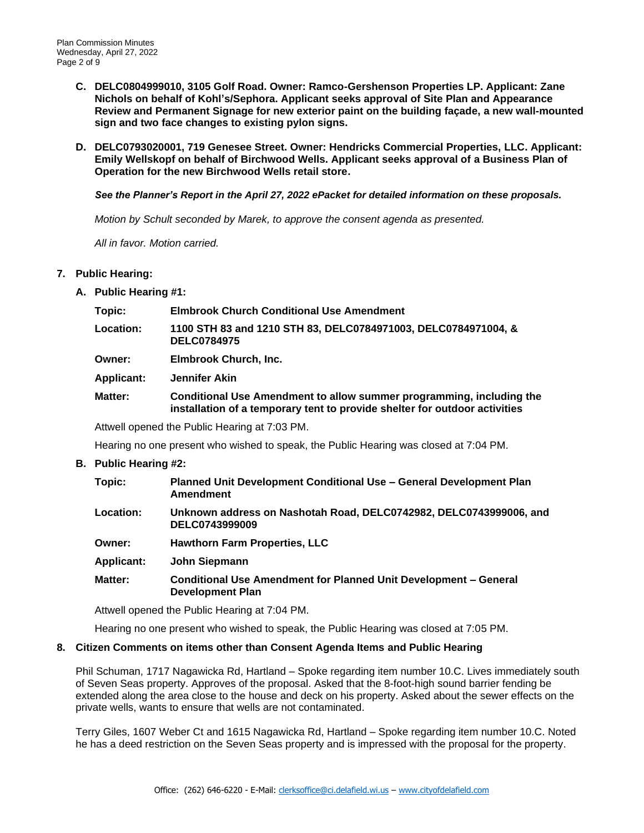- **C. DELC0804999010, 3105 Golf Road. Owner: Ramco-Gershenson Properties LP. Applicant: Zane Nichols on behalf of Kohl's/Sephora. Applicant seeks approval of Site Plan and Appearance Review and Permanent Signage for new exterior paint on the building façade, a new wall-mounted sign and two face changes to existing pylon signs.**
- **D. DELC0793020001, 719 Genesee Street. Owner: Hendricks Commercial Properties, LLC. Applicant: Emily Wellskopf on behalf of Birchwood Wells. Applicant seeks approval of a Business Plan of Operation for the new Birchwood Wells retail store.**

*See the Planner's Report in the April 27, 2022 ePacket for detailed information on these proposals.*

*Motion by Schult seconded by Marek, to approve the consent agenda as presented.* 

*All in favor. Motion carried.*

## **7. Public Hearing:**

**A. Public Hearing #1:**

| Location:<br>1100 STH 83 and 1210 STH 83, DELC0784971003, DELC0784971004, &<br><b>DELC0784975</b><br>Elmbrook Church, Inc.<br><b>Owner:</b><br><b>Applicant:</b><br>Jennifer Akin<br>Matter:<br>installation of a temporary tent to provide shelter for outdoor activities | Topic: | <b>Elmbrook Church Conditional Use Amendment</b>                     |
|----------------------------------------------------------------------------------------------------------------------------------------------------------------------------------------------------------------------------------------------------------------------------|--------|----------------------------------------------------------------------|
|                                                                                                                                                                                                                                                                            |        |                                                                      |
|                                                                                                                                                                                                                                                                            |        |                                                                      |
|                                                                                                                                                                                                                                                                            |        |                                                                      |
|                                                                                                                                                                                                                                                                            |        | Conditional Use Amendment to allow summer programming, including the |

Attwell opened the Public Hearing at 7:03 PM.

Hearing no one present who wished to speak, the Public Hearing was closed at 7:04 PM.

## **B. Public Hearing #2:**

| Topic:            | Planned Unit Development Conditional Use – General Development Plan<br><b>Amendment</b> |
|-------------------|-----------------------------------------------------------------------------------------|
| Location:         | Unknown address on Nashotah Road, DELC0742982, DELC0743999006, and<br>DELC0743999009    |
| Owner:            | <b>Hawthorn Farm Properties, LLC</b>                                                    |
| <b>Applicant:</b> | John Siepmann                                                                           |
| <b>Matter:</b>    | <b>Conditional Use Amendment for Planned Unit Development - General</b>                 |

Attwell opened the Public Hearing at 7:04 PM.

**Development Plan**

Hearing no one present who wished to speak, the Public Hearing was closed at 7:05 PM.

## **8. Citizen Comments on items other than Consent Agenda Items and Public Hearing**

Phil Schuman, 1717 Nagawicka Rd, Hartland – Spoke regarding item number 10.C. Lives immediately south of Seven Seas property. Approves of the proposal. Asked that the 8-foot-high sound barrier fending be extended along the area close to the house and deck on his property. Asked about the sewer effects on the private wells, wants to ensure that wells are not contaminated.

Terry Giles, 1607 Weber Ct and 1615 Nagawicka Rd, Hartland – Spoke regarding item number 10.C. Noted he has a deed restriction on the Seven Seas property and is impressed with the proposal for the property.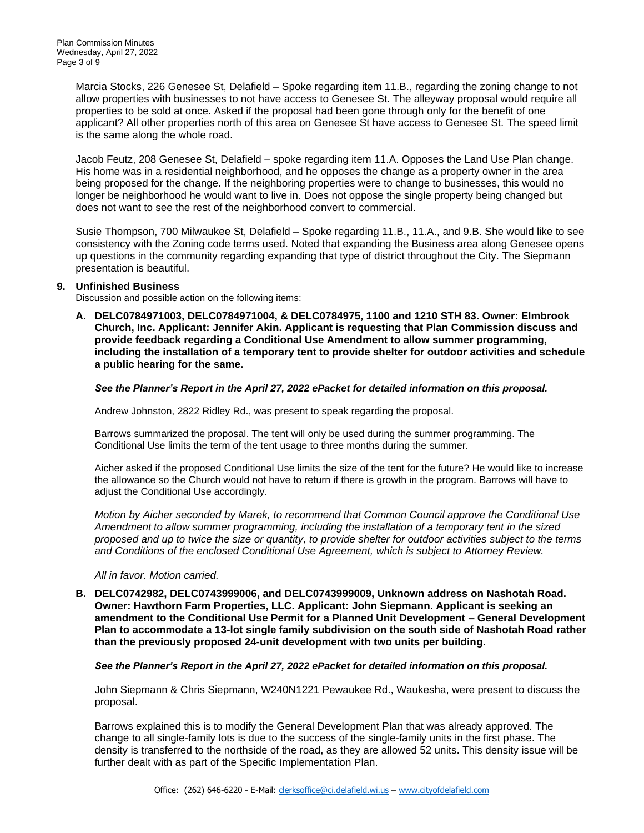Marcia Stocks, 226 Genesee St, Delafield – Spoke regarding item 11.B., regarding the zoning change to not allow properties with businesses to not have access to Genesee St. The alleyway proposal would require all properties to be sold at once. Asked if the proposal had been gone through only for the benefit of one applicant? All other properties north of this area on Genesee St have access to Genesee St. The speed limit is the same along the whole road.

Jacob Feutz, 208 Genesee St, Delafield – spoke regarding item 11.A. Opposes the Land Use Plan change. His home was in a residential neighborhood, and he opposes the change as a property owner in the area being proposed for the change. If the neighboring properties were to change to businesses, this would no longer be neighborhood he would want to live in. Does not oppose the single property being changed but does not want to see the rest of the neighborhood convert to commercial.

Susie Thompson, 700 Milwaukee St, Delafield – Spoke regarding 11.B., 11.A., and 9.B. She would like to see consistency with the Zoning code terms used. Noted that expanding the Business area along Genesee opens up questions in the community regarding expanding that type of district throughout the City. The Siepmann presentation is beautiful.

## **9. Unfinished Business**

Discussion and possible action on the following items:

**A. DELC0784971003, DELC0784971004, & DELC0784975, 1100 and 1210 STH 83. Owner: Elmbrook Church, Inc. Applicant: Jennifer Akin. Applicant is requesting that Plan Commission discuss and provide feedback regarding a Conditional Use Amendment to allow summer programming, including the installation of a temporary tent to provide shelter for outdoor activities and schedule a public hearing for the same.**

#### *See the Planner's Report in the April 27, 2022 ePacket for detailed information on this proposal.*

Andrew Johnston, 2822 Ridley Rd., was present to speak regarding the proposal.

Barrows summarized the proposal. The tent will only be used during the summer programming. The Conditional Use limits the term of the tent usage to three months during the summer.

Aicher asked if the proposed Conditional Use limits the size of the tent for the future? He would like to increase the allowance so the Church would not have to return if there is growth in the program. Barrows will have to adjust the Conditional Use accordingly.

*Motion by Aicher seconded by Marek, to recommend that Common Council approve the Conditional Use Amendment to allow summer programming, including the installation of a temporary tent in the sized proposed and up to twice the size or quantity, to provide shelter for outdoor activities subject to the terms and Conditions of the enclosed Conditional Use Agreement, which is subject to Attorney Review.*

#### *All in favor. Motion carried.*

**B. DELC0742982, DELC0743999006, and DELC0743999009, Unknown address on Nashotah Road. Owner: Hawthorn Farm Properties, LLC. Applicant: John Siepmann. Applicant is seeking an amendment to the Conditional Use Permit for a Planned Unit Development – General Development Plan to accommodate a 13-lot single family subdivision on the south side of Nashotah Road rather than the previously proposed 24-unit development with two units per building.** 

## *See the Planner's Report in the April 27, 2022 ePacket for detailed information on this proposal.*

John Siepmann & Chris Siepmann, W240N1221 Pewaukee Rd., Waukesha, were present to discuss the proposal.

Barrows explained this is to modify the General Development Plan that was already approved. The change to all single-family lots is due to the success of the single-family units in the first phase. The density is transferred to the northside of the road, as they are allowed 52 units. This density issue will be further dealt with as part of the Specific Implementation Plan.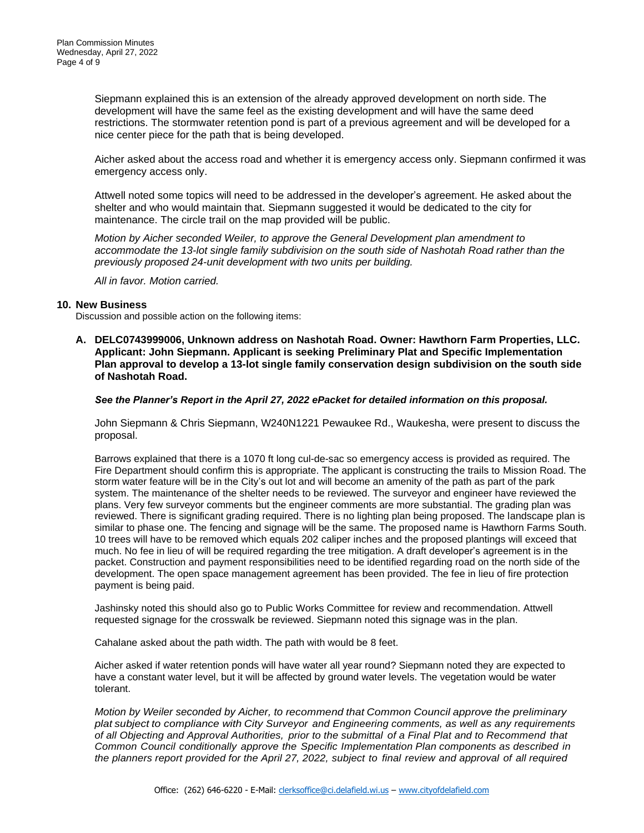Siepmann explained this is an extension of the already approved development on north side. The development will have the same feel as the existing development and will have the same deed restrictions. The stormwater retention pond is part of a previous agreement and will be developed for a nice center piece for the path that is being developed.

Aicher asked about the access road and whether it is emergency access only. Siepmann confirmed it was emergency access only.

Attwell noted some topics will need to be addressed in the developer's agreement. He asked about the shelter and who would maintain that. Siepmann suggested it would be dedicated to the city for maintenance. The circle trail on the map provided will be public.

*Motion by Aicher seconded Weiler, to approve the General Development plan amendment to accommodate the 13-lot single family subdivision on the south side of Nashotah Road rather than the previously proposed 24-unit development with two units per building.* 

*All in favor. Motion carried.* 

#### **10. New Business**

Discussion and possible action on the following items:

**A. DELC0743999006, Unknown address on Nashotah Road. Owner: Hawthorn Farm Properties, LLC. Applicant: John Siepmann. Applicant is seeking Preliminary Plat and Specific Implementation Plan approval to develop a 13-lot single family conservation design subdivision on the south side of Nashotah Road.**

#### *See the Planner's Report in the April 27, 2022 ePacket for detailed information on this proposal.*

John Siepmann & Chris Siepmann, W240N1221 Pewaukee Rd., Waukesha, were present to discuss the proposal.

Barrows explained that there is a 1070 ft long cul-de-sac so emergency access is provided as required. The Fire Department should confirm this is appropriate. The applicant is constructing the trails to Mission Road. The storm water feature will be in the City's out lot and will become an amenity of the path as part of the park system. The maintenance of the shelter needs to be reviewed. The surveyor and engineer have reviewed the plans. Very few surveyor comments but the engineer comments are more substantial. The grading plan was reviewed. There is significant grading required. There is no lighting plan being proposed. The landscape plan is similar to phase one. The fencing and signage will be the same. The proposed name is Hawthorn Farms South. 10 trees will have to be removed which equals 202 caliper inches and the proposed plantings will exceed that much. No fee in lieu of will be required regarding the tree mitigation. A draft developer's agreement is in the packet. Construction and payment responsibilities need to be identified regarding road on the north side of the development. The open space management agreement has been provided. The fee in lieu of fire protection payment is being paid.

Jashinsky noted this should also go to Public Works Committee for review and recommendation. Attwell requested signage for the crosswalk be reviewed. Siepmann noted this signage was in the plan.

Cahalane asked about the path width. The path with would be 8 feet.

Aicher asked if water retention ponds will have water all year round? Siepmann noted they are expected to have a constant water level, but it will be affected by ground water levels. The vegetation would be water tolerant.

*Motion by Weiler seconded by Aicher, to recommend that Common Council approve the preliminary plat subject to compliance with City Surveyor and Engineering comments, as well as any requirements of all Objecting and Approval Authorities, prior to the submittal of a Final Plat and to Recommend that Common Council conditionally approve the Specific Implementation Plan components as described in the planners report provided for the April 27, 2022, subject to final review and approval of all required*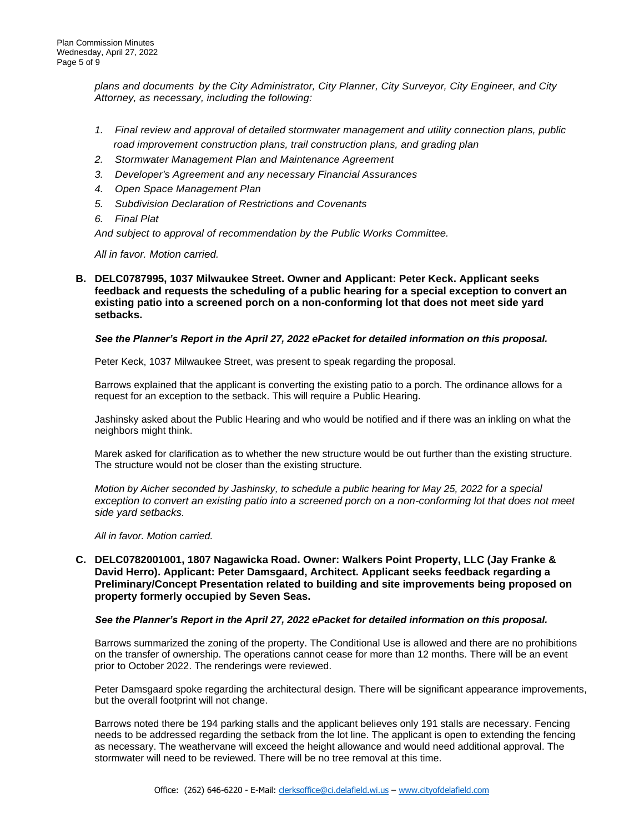*plans and documents by the City Administrator, City Planner, City Surveyor, City Engineer, and City Attorney, as necessary, including the following:*

- *1. Final review and approval of detailed stormwater management and utility connection plans, public road improvement construction plans, trail construction plans, and grading plan*
- *2. Stormwater Management Plan and Maintenance Agreement*
- *3. Developer's Agreement and any necessary Financial Assurances*
- *4. Open Space Management Plan*
- *5. Subdivision Declaration of Restrictions and Covenants*
- *6. Final Plat*

*And subject to approval of recommendation by the Public Works Committee.* 

*All in favor. Motion carried.* 

**B. DELC0787995, 1037 Milwaukee Street. Owner and Applicant: Peter Keck. Applicant seeks feedback and requests the scheduling of a public hearing for a special exception to convert an existing patio into a screened porch on a non-conforming lot that does not meet side yard setbacks.**

#### *See the Planner's Report in the April 27, 2022 ePacket for detailed information on this proposal.*

Peter Keck, 1037 Milwaukee Street, was present to speak regarding the proposal.

Barrows explained that the applicant is converting the existing patio to a porch. The ordinance allows for a request for an exception to the setback. This will require a Public Hearing.

Jashinsky asked about the Public Hearing and who would be notified and if there was an inkling on what the neighbors might think.

Marek asked for clarification as to whether the new structure would be out further than the existing structure. The structure would not be closer than the existing structure.

*Motion by Aicher seconded by Jashinsky, to schedule a public hearing for May 25, 2022 for a special*  exception to convert an existing patio into a screened porch on a non-conforming lot that does not meet *side yard setbacks.*

*All in favor. Motion carried.* 

#### **C. DELC0782001001, 1807 Nagawicka Road. Owner: Walkers Point Property, LLC (Jay Franke & David Herro). Applicant: Peter Damsgaard, Architect. Applicant seeks feedback regarding a Preliminary/Concept Presentation related to building and site improvements being proposed on property formerly occupied by Seven Seas.**

#### *See the Planner's Report in the April 27, 2022 ePacket for detailed information on this proposal.*

Barrows summarized the zoning of the property. The Conditional Use is allowed and there are no prohibitions on the transfer of ownership. The operations cannot cease for more than 12 months. There will be an event prior to October 2022. The renderings were reviewed.

Peter Damsgaard spoke regarding the architectural design. There will be significant appearance improvements, but the overall footprint will not change.

Barrows noted there be 194 parking stalls and the applicant believes only 191 stalls are necessary. Fencing needs to be addressed regarding the setback from the lot line. The applicant is open to extending the fencing as necessary. The weathervane will exceed the height allowance and would need additional approval. The stormwater will need to be reviewed. There will be no tree removal at this time.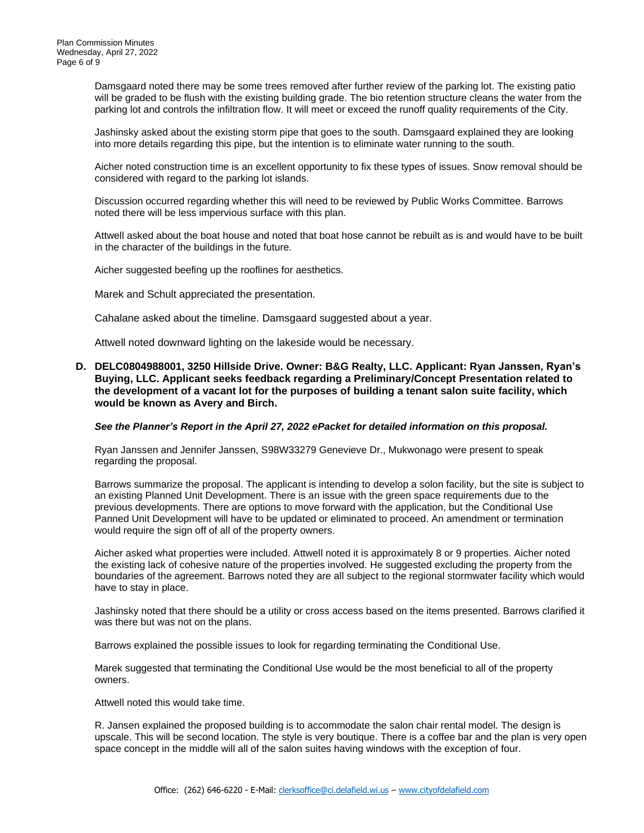Damsgaard noted there may be some trees removed after further review of the parking lot. The existing patio will be graded to be flush with the existing building grade. The bio retention structure cleans the water from the parking lot and controls the infiltration flow. It will meet or exceed the runoff quality requirements of the City.

Jashinsky asked about the existing storm pipe that goes to the south. Damsgaard explained they are looking into more details regarding this pipe, but the intention is to eliminate water running to the south.

Aicher noted construction time is an excellent opportunity to fix these types of issues. Snow removal should be considered with regard to the parking lot islands.

Discussion occurred regarding whether this will need to be reviewed by Public Works Committee. Barrows noted there will be less impervious surface with this plan.

Attwell asked about the boat house and noted that boat hose cannot be rebuilt as is and would have to be built in the character of the buildings in the future.

Aicher suggested beefing up the rooflines for aesthetics.

Marek and Schult appreciated the presentation.

Cahalane asked about the timeline. Damsgaard suggested about a year.

Attwell noted downward lighting on the lakeside would be necessary.

#### **D. DELC0804988001, 3250 Hillside Drive. Owner: B&G Realty, LLC. Applicant: Ryan Janssen, Ryan's Buying, LLC. Applicant seeks feedback regarding a Preliminary/Concept Presentation related to the development of a vacant lot for the purposes of building a tenant salon suite facility, which would be known as Avery and Birch.**

#### *See the Planner's Report in the April 27, 2022 ePacket for detailed information on this proposal.*

Ryan Janssen and Jennifer Janssen, S98W33279 Genevieve Dr., Mukwonago were present to speak regarding the proposal.

Barrows summarize the proposal. The applicant is intending to develop a solon facility, but the site is subject to an existing Planned Unit Development. There is an issue with the green space requirements due to the previous developments. There are options to move forward with the application, but the Conditional Use Panned Unit Development will have to be updated or eliminated to proceed. An amendment or termination would require the sign off of all of the property owners.

Aicher asked what properties were included. Attwell noted it is approximately 8 or 9 properties. Aicher noted the existing lack of cohesive nature of the properties involved. He suggested excluding the property from the boundaries of the agreement. Barrows noted they are all subject to the regional stormwater facility which would have to stay in place.

Jashinsky noted that there should be a utility or cross access based on the items presented. Barrows clarified it was there but was not on the plans.

Barrows explained the possible issues to look for regarding terminating the Conditional Use.

Marek suggested that terminating the Conditional Use would be the most beneficial to all of the property owners.

Attwell noted this would take time.

R. Jansen explained the proposed building is to accommodate the salon chair rental model. The design is upscale. This will be second location. The style is very boutique. There is a coffee bar and the plan is very open space concept in the middle will all of the salon suites having windows with the exception of four.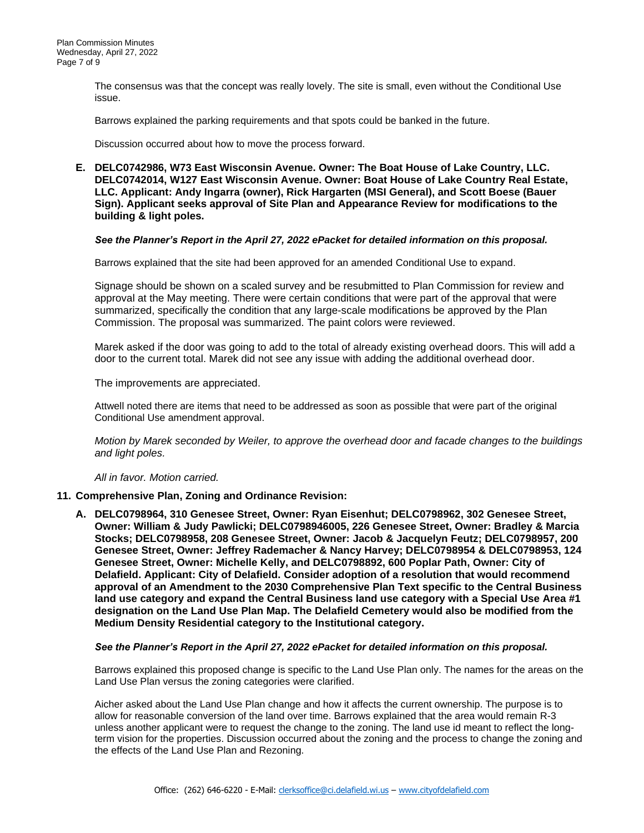The consensus was that the concept was really lovely. The site is small, even without the Conditional Use issue.

Barrows explained the parking requirements and that spots could be banked in the future.

Discussion occurred about how to move the process forward.

**E. DELC0742986, W73 East Wisconsin Avenue. Owner: The Boat House of Lake Country, LLC. DELC0742014, W127 East Wisconsin Avenue. Owner: Boat House of Lake Country Real Estate, LLC. Applicant: Andy Ingarra (owner), Rick Hargarten (MSI General), and Scott Boese (Bauer Sign). Applicant seeks approval of Site Plan and Appearance Review for modifications to the building & light poles.** 

#### *See the Planner's Report in the April 27, 2022 ePacket for detailed information on this proposal.*

Barrows explained that the site had been approved for an amended Conditional Use to expand.

Signage should be shown on a scaled survey and be resubmitted to Plan Commission for review and approval at the May meeting. There were certain conditions that were part of the approval that were summarized, specifically the condition that any large-scale modifications be approved by the Plan Commission. The proposal was summarized. The paint colors were reviewed.

Marek asked if the door was going to add to the total of already existing overhead doors. This will add a door to the current total. Marek did not see any issue with adding the additional overhead door.

The improvements are appreciated.

Attwell noted there are items that need to be addressed as soon as possible that were part of the original Conditional Use amendment approval.

*Motion by Marek seconded by Weiler, to approve the overhead door and facade changes to the buildings and light poles.* 

*All in favor. Motion carried.* 

#### **11. Comprehensive Plan, Zoning and Ordinance Revision:**

**A. DELC0798964, 310 Genesee Street, Owner: Ryan Eisenhut; DELC0798962, 302 Genesee Street, Owner: William & Judy Pawlicki; DELC0798946005, 226 Genesee Street, Owner: Bradley & Marcia Stocks; DELC0798958, 208 Genesee Street, Owner: Jacob & Jacquelyn Feutz; DELC0798957, 200 Genesee Street, Owner: Jeffrey Rademacher & Nancy Harvey; DELC0798954 & DELC0798953, 124 Genesee Street, Owner: Michelle Kelly, and DELC0798892, 600 Poplar Path, Owner: City of Delafield. Applicant: City of Delafield. Consider adoption of a resolution that would recommend approval of an Amendment to the 2030 Comprehensive Plan Text specific to the Central Business land use category and expand the Central Business land use category with a Special Use Area #1 designation on the Land Use Plan Map. The Delafield Cemetery would also be modified from the Medium Density Residential category to the Institutional category.**

#### *See the Planner's Report in the April 27, 2022 ePacket for detailed information on this proposal.*

Barrows explained this proposed change is specific to the Land Use Plan only. The names for the areas on the Land Use Plan versus the zoning categories were clarified.

Aicher asked about the Land Use Plan change and how it affects the current ownership. The purpose is to allow for reasonable conversion of the land over time. Barrows explained that the area would remain R-3 unless another applicant were to request the change to the zoning. The land use id meant to reflect the longterm vision for the properties. Discussion occurred about the zoning and the process to change the zoning and the effects of the Land Use Plan and Rezoning.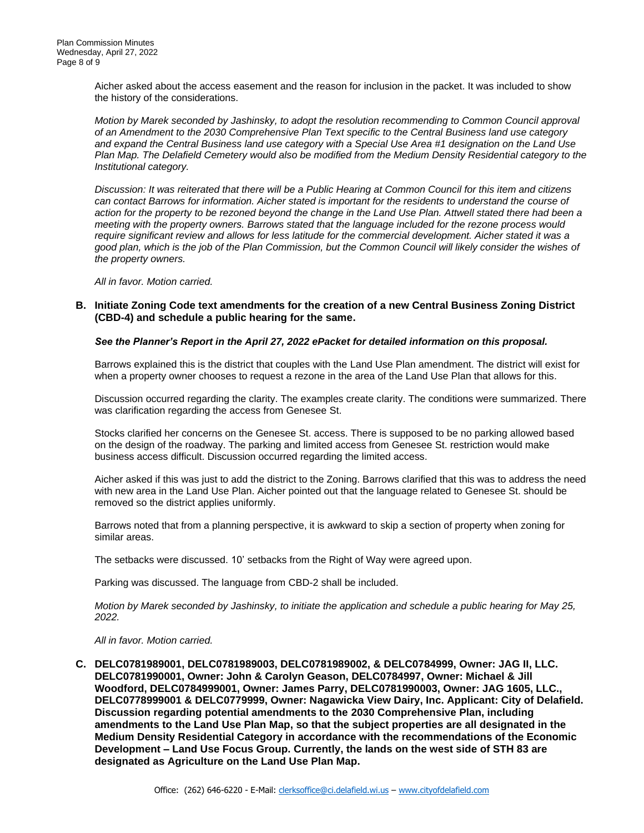Aicher asked about the access easement and the reason for inclusion in the packet. It was included to show the history of the considerations.

*Motion by Marek seconded by Jashinsky, to adopt the resolution recommending to Common Council approval of an Amendment to the 2030 Comprehensive Plan Text specific to the Central Business land use category and expand the Central Business land use category with a Special Use Area #1 designation on the Land Use Plan Map. The Delafield Cemetery would also be modified from the Medium Density Residential category to the Institutional category.*

*Discussion: It was reiterated that there will be a Public Hearing at Common Council for this item and citizens can contact Barrows for information. Aicher stated is important for the residents to understand the course of action for the property to be rezoned beyond the change in the Land Use Plan. Attwell stated there had been a meeting with the property owners. Barrows stated that the language included for the rezone process would require significant review and allows for less latitude for the commercial development. Aicher stated it was a good plan, which is the job of the Plan Commission, but the Common Council will likely consider the wishes of the property owners.* 

*All in favor. Motion carried.* 

#### **B. Initiate Zoning Code text amendments for the creation of a new Central Business Zoning District (CBD-4) and schedule a public hearing for the same.**

#### *See the Planner's Report in the April 27, 2022 ePacket for detailed information on this proposal.*

Barrows explained this is the district that couples with the Land Use Plan amendment. The district will exist for when a property owner chooses to request a rezone in the area of the Land Use Plan that allows for this.

Discussion occurred regarding the clarity. The examples create clarity. The conditions were summarized. There was clarification regarding the access from Genesee St.

Stocks clarified her concerns on the Genesee St. access. There is supposed to be no parking allowed based on the design of the roadway. The parking and limited access from Genesee St. restriction would make business access difficult. Discussion occurred regarding the limited access.

Aicher asked if this was just to add the district to the Zoning. Barrows clarified that this was to address the need with new area in the Land Use Plan. Aicher pointed out that the language related to Genesee St. should be removed so the district applies uniformly.

Barrows noted that from a planning perspective, it is awkward to skip a section of property when zoning for similar areas.

The setbacks were discussed. 10' setbacks from the Right of Way were agreed upon.

Parking was discussed. The language from CBD-2 shall be included.

*Motion by Marek seconded by Jashinsky, to initiate the application and schedule a public hearing for May 25, 2022.* 

#### *All in favor. Motion carried.*

**C. DELC0781989001, DELC0781989003, DELC0781989002, & DELC0784999, Owner: JAG II, LLC. DELC0781990001, Owner: John & Carolyn Geason, DELC0784997, Owner: Michael & Jill Woodford, DELC0784999001, Owner: James Parry, DELC0781990003, Owner: JAG 1605, LLC., DELC0778999001 & DELC0779999, Owner: Nagawicka View Dairy, Inc. Applicant: City of Delafield. Discussion regarding potential amendments to the 2030 Comprehensive Plan, including amendments to the Land Use Plan Map, so that the subject properties are all designated in the Medium Density Residential Category in accordance with the recommendations of the Economic Development – Land Use Focus Group. Currently, the lands on the west side of STH 83 are designated as Agriculture on the Land Use Plan Map.**